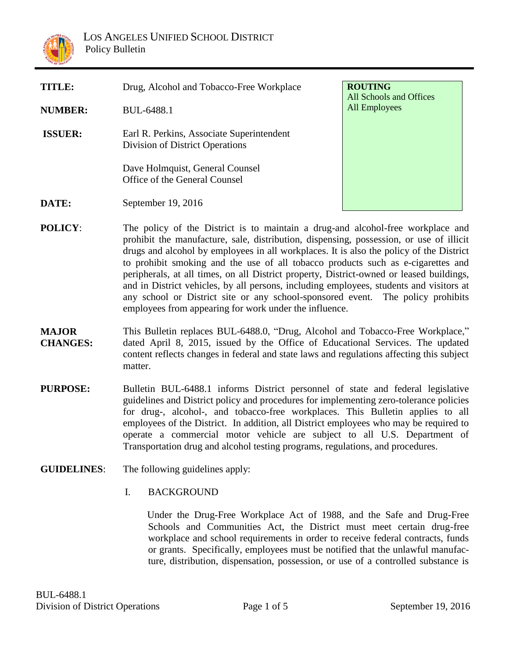

| <b>TITLE:</b>  | Drug, Alcohol and Tobacco-Free Workplace                                     | <b>ROUTING</b><br>All Schools and Offices |
|----------------|------------------------------------------------------------------------------|-------------------------------------------|
| <b>NUMBER:</b> | BUL-6488.1                                                                   | All Employees                             |
| <b>ISSUER:</b> | Earl R. Perkins, Associate Superintendent<br>Division of District Operations |                                           |
|                | Dave Holmquist, General Counsel<br>Office of the General Counsel             |                                           |
| DATE:          | September 19, 2016                                                           |                                           |

- **POLICY:** The policy of the District is to maintain a drug-and alcohol-free workplace and prohibit the manufacture, sale, distribution, dispensing, possession, or use of illicit drugs and alcohol by employees in all workplaces. It is also the policy of the District to prohibit smoking and the use of all tobacco products such as e-cigarettes and peripherals, at all times, on all District property, District-owned or leased buildings, and in District vehicles, by all persons, including employees, students and visitors at any school or District site or any school-sponsored event. The policy prohibits employees from appearing for work under the influence.
- **MAJOR CHANGES:** This Bulletin replaces BUL-6488.0, "Drug, Alcohol and Tobacco-Free Workplace," dated April 8, 2015, issued by the Office of Educational Services. The updated content reflects changes in federal and state laws and regulations affecting this subject matter.
- **PURPOSE:** Bulletin BUL-6488.1 informs District personnel of state and federal legislative guidelines and District policy and procedures for implementing zero-tolerance policies for drug-, alcohol-, and tobacco-free workplaces. This Bulletin applies to all employees of the District. In addition, all District employees who may be required to operate a commercial motor vehicle are subject to all U.S. Department of Transportation drug and alcohol testing programs, regulations, and procedures.
- **GUIDELINES**: The following guidelines apply:
	- I. BACKGROUND

 Under the Drug-Free Workplace Act of 1988, and the Safe and Drug-Free Schools and Communities Act, the District must meet certain drug-free workplace and school requirements in order to receive federal contracts, funds or grants. Specifically, employees must be notified that the unlawful manufacture, distribution, dispensation, possession, or use of a controlled substance is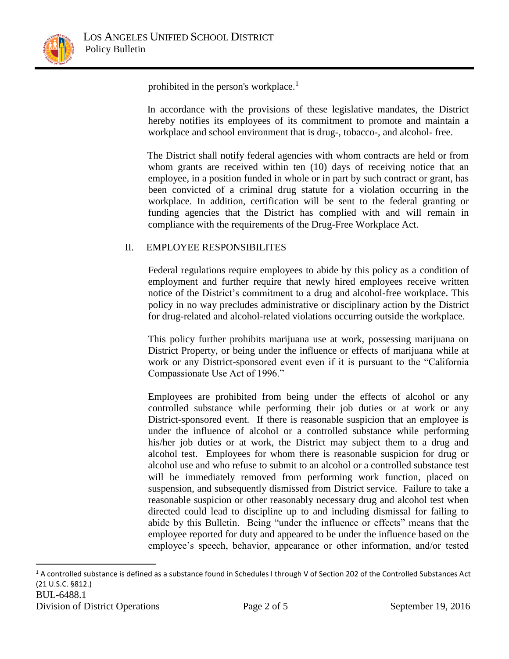

 $\overline{a}$ 

prohibited in the person's workplace.<sup>1</sup>

 In accordance with the provisions of these legislative mandates, the District hereby notifies its employees of its commitment to promote and maintain a workplace and school environment that is drug-, tobacco-, and alcohol- free.

 The District shall notify federal agencies with whom contracts are held or from whom grants are received within ten (10) days of receiving notice that an employee, in a position funded in whole or in part by such contract or grant, has been convicted of a criminal drug statute for a violation occurring in the workplace. In addition, certification will be sent to the federal granting or funding agencies that the District has complied with and will remain in compliance with the requirements of the Drug-Free Workplace Act.

### II. EMPLOYEE RESPONSIBILITES

Federal regulations require employees to abide by this policy as a condition of employment and further require that newly hired employees receive written notice of the District's commitment to a drug and alcohol-free workplace. This policy in no way precludes administrative or disciplinary action by the District for drug-related and alcohol-related violations occurring outside the workplace.

This policy further prohibits marijuana use at work, possessing marijuana on District Property, or being under the influence or effects of marijuana while at work or any District-sponsored event even if it is pursuant to the "California Compassionate Use Act of 1996."

Employees are prohibited from being under the effects of alcohol or any controlled substance while performing their job duties or at work or any District-sponsored event. If there is reasonable suspicion that an employee is under the influence of alcohol or a controlled substance while performing his/her job duties or at work, the District may subject them to a drug and alcohol test. Employees for whom there is reasonable suspicion for drug or alcohol use and who refuse to submit to an alcohol or a controlled substance test will be immediately removed from performing work function, placed on suspension, and subsequently dismissed from District service. Failure to take a reasonable suspicion or other reasonably necessary drug and alcohol test when directed could lead to discipline up to and including dismissal for failing to abide by this Bulletin. Being "under the influence or effects" means that the employee reported for duty and appeared to be under the influence based on the employee's speech, behavior, appearance or other information, and/or tested

BUL-6488.1 Division of District Operations Page 2 of 5 September 19, 2016  $1$  A controlled substance is defined as a substance found in Schedules I through V of Section 202 of the Controlled Substances Act (21 U.S.C. §812.)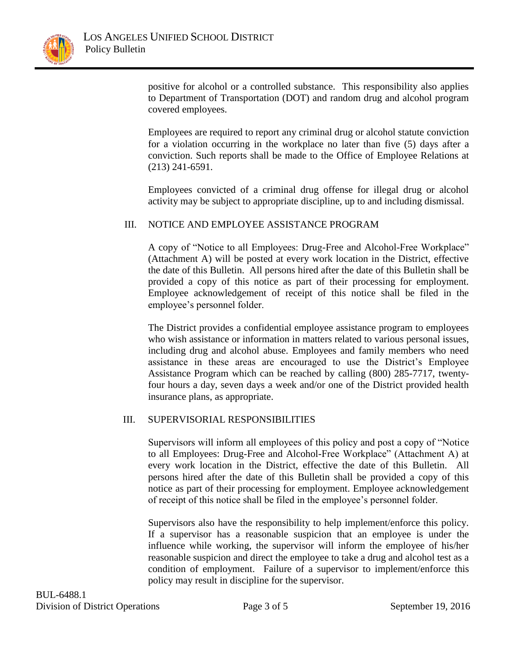

positive for alcohol or a controlled substance. This responsibility also applies to Department of Transportation (DOT) and random drug and alcohol program covered employees.

Employees are required to report any criminal drug or alcohol statute conviction for a violation occurring in the workplace no later than five (5) days after a conviction. Such reports shall be made to the Office of Employee Relations at (213) 241-6591.

Employees convicted of a criminal drug offense for illegal drug or alcohol activity may be subject to appropriate discipline, up to and including dismissal.

### III. NOTICE AND EMPLOYEE ASSISTANCE PROGRAM

A copy of "Notice to all Employees: Drug-Free and Alcohol-Free Workplace" (Attachment A) will be posted at every work location in the District, effective the date of this Bulletin. All persons hired after the date of this Bulletin shall be provided a copy of this notice as part of their processing for employment. Employee acknowledgement of receipt of this notice shall be filed in the employee's personnel folder.

The District provides a confidential employee assistance program to employees who wish assistance or information in matters related to various personal issues, including drug and alcohol abuse. Employees and family members who need assistance in these areas are encouraged to use the District's Employee Assistance Program which can be reached by calling (800) 285-7717, twentyfour hours a day, seven days a week and/or one of the District provided health insurance plans, as appropriate.

### III. SUPERVISORIAL RESPONSIBILITIES

Supervisors will inform all employees of this policy and post a copy of "Notice to all Employees: Drug-Free and Alcohol-Free Workplace" (Attachment A) at every work location in the District, effective the date of this Bulletin. All persons hired after the date of this Bulletin shall be provided a copy of this notice as part of their processing for employment. Employee acknowledgement of receipt of this notice shall be filed in the employee's personnel folder.

Supervisors also have the responsibility to help implement/enforce this policy. If a supervisor has a reasonable suspicion that an employee is under the influence while working, the supervisor will inform the employee of his/her reasonable suspicion and direct the employee to take a drug and alcohol test as a condition of employment. Failure of a supervisor to implement/enforce this policy may result in discipline for the supervisor.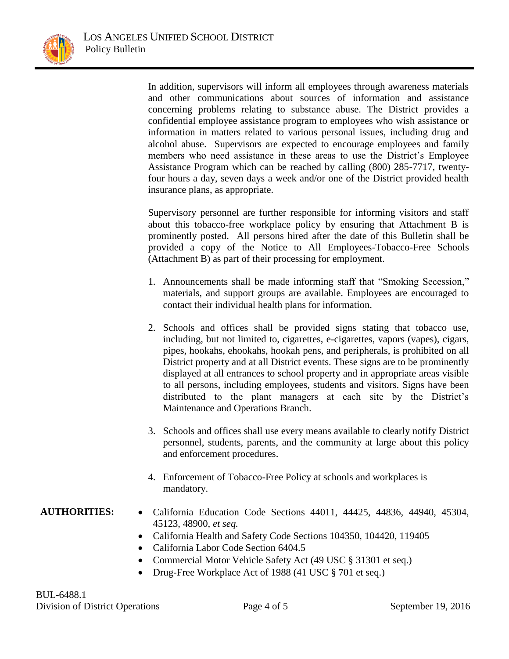

In addition, supervisors will inform all employees through awareness materials and other communications about sources of information and assistance concerning problems relating to substance abuse. The District provides a confidential employee assistance program to employees who wish assistance or information in matters related to various personal issues, including drug and alcohol abuse. Supervisors are expected to encourage employees and family members who need assistance in these areas to use the District's Employee Assistance Program which can be reached by calling (800) 285-7717, twentyfour hours a day, seven days a week and/or one of the District provided health insurance plans, as appropriate.

Supervisory personnel are further responsible for informing visitors and staff about this tobacco-free workplace policy by ensuring that Attachment B is prominently posted. All persons hired after the date of this Bulletin shall be provided a copy of the Notice to All Employees-Tobacco-Free Schools (Attachment B) as part of their processing for employment.

- 1. Announcements shall be made informing staff that "Smoking Secession," materials, and support groups are available. Employees are encouraged to contact their individual health plans for information.
- 2. Schools and offices shall be provided signs stating that tobacco use, including, but not limited to, cigarettes, e-cigarettes, vapors (vapes), cigars, pipes, hookahs, ehookahs, hookah pens, and peripherals, is prohibited on all District property and at all District events. These signs are to be prominently displayed at all entrances to school property and in appropriate areas visible to all persons, including employees, students and visitors. Signs have been distributed to the plant managers at each site by the District's Maintenance and Operations Branch.
- 3. Schools and offices shall use every means available to clearly notify District personnel, students, parents, and the community at large about this policy and enforcement procedures.
- 4. Enforcement of Tobacco-Free Policy at schools and workplaces is mandatory.

### **AUTHORITIES:** California Education Code Sections 44011, 44425, 44836, 44940, 45304, 45123, 48900, *et seq.*

- California Health and Safety Code Sections 104350, 104420, 119405
- California Labor Code Section 6404.5
- Commercial Motor Vehicle Safety Act (49 USC § 31301 et seq.)
- Drug-Free Workplace Act of 1988 (41 USC § 701 et seq.)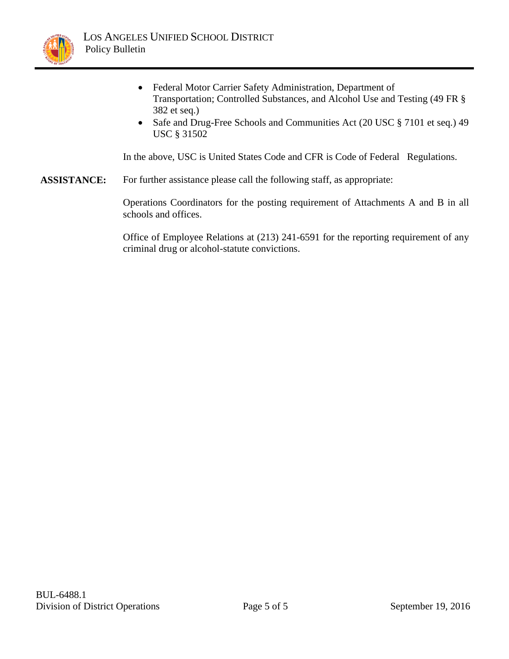

- Federal Motor Carrier Safety Administration, Department of Transportation; Controlled Substances, and Alcohol Use and Testing (49 FR § 382 et seq.)
- Safe and Drug-Free Schools and Communities Act (20 USC § 7101 et seq.) 49 USC § 31502

In the above, USC is United States Code and CFR is Code of Federal Regulations.

**ASSISTANCE:** For further assistance please call the following staff, as appropriate:

Operations Coordinators for the posting requirement of Attachments A and B in all schools and offices.

Office of Employee Relations at (213) 241-6591 for the reporting requirement of any criminal drug or alcohol-statute convictions.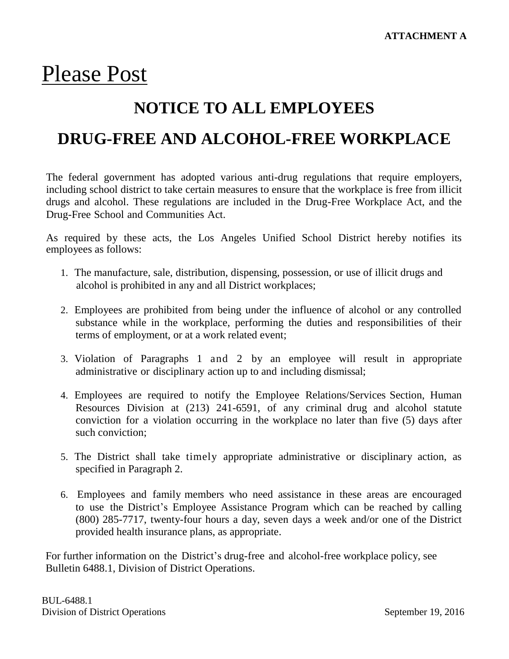## Please Post

## **NOTICE TO ALL EMPLOYEES**

### **DRUG-FREE AND ALCOHOL-FREE WORKPLACE**

The federal government has adopted various anti-drug regulations that require employers, including school district to take certain measures to ensure that the workplace is free from illicit drugs and alcohol. These regulations are included in the Drug-Free Workplace Act, and the Drug-Free School and Communities Act.

As required by these acts, the Los Angeles Unified School District hereby notifies its employees as follows:

- 1. The manufacture, sale, distribution, dispensing, possession, or use of illicit drugs and alcohol is prohibited in any and all District workplaces;
- 2. Employees are prohibited from being under the influence of alcohol or any controlled substance while in the workplace, performing the duties and responsibilities of their terms of employment, or at a work related event;
- 3. Violation of Paragraphs 1 and 2 by an employee will result in appropriate administrative or disciplinary action up to and including dismissal;
- 4. Employees are required to notify the Employee Relations/Services Section, Human Resources Division at (213) 241-6591, of any criminal drug and alcohol statute conviction for a violation occurring in the workplace no later than five (5) days after such conviction;
- 5. The District shall take timely appropriate administrative or disciplinary action, as specified in Paragraph 2.
- 6. Employees and family members who need assistance in these areas are encouraged to use the District's Employee Assistance Program which can be reached by calling (800) 285-7717, twenty-four hours a day, seven days a week and/or one of the District provided health insurance plans, as appropriate.

For further information on the District's drug-free and alcohol-free workplace policy, see Bulletin 6488.1, Division of District Operations.